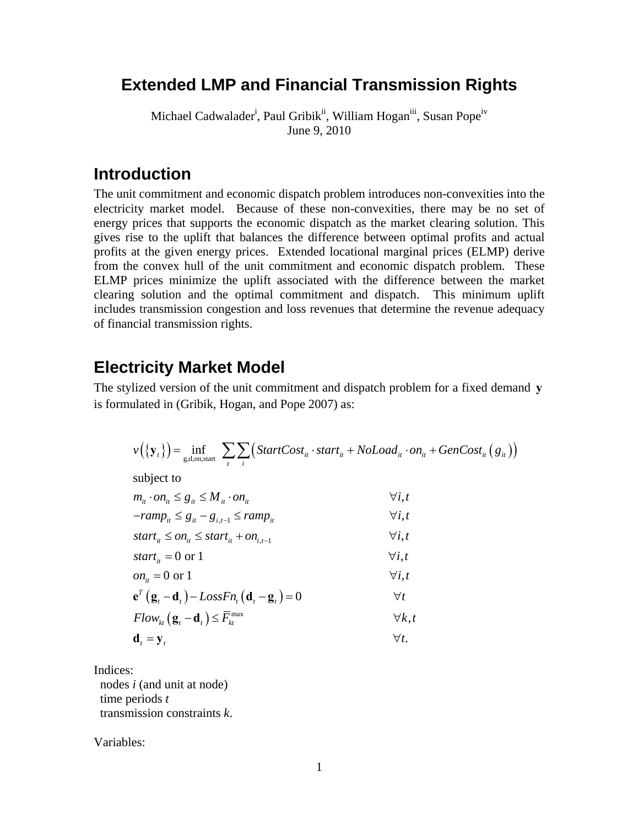# **Extended LMP and Financial Transmission Rights**

Michael Cadwalader<sup>i</sup>, Paul Gribik<sup>ii</sup>, William Hogan<sup>iii</sup>, Susan Pope<sup>iv</sup> June 9, 2010

### **Introduction**

The unit commitment and economic dispatch problem introduces non-convexities into the electricity market model. Because of these non-convexities, there may be no set of energy prices that supports the economic dispatch as the market clearing solution. This gives rise to the uplift that balances the difference between optimal profits and actual profits at the given energy prices. Extended locational marginal prices (ELMP) derive from the convex hull of the unit commitment and economic dispatch problem. These ELMP prices minimize the uplift associated with the difference between the market clearing solution and the optimal commitment and dispatch. This minimum uplift includes transmission congestion and loss revenues that determine the revenue adequacy of financial transmission rights.

### **Electricity Market Model**

The stylized version of the unit commitment and dispatch problem for a fixed demand **y** is formulated in (Gribik, Hogan, and Pope 2007) as:

$$
v({\mathbf{y}_t}) = \inf_{g,d,\text{on,start}} \sum_{t} \sum_{i} (StartCost_{it} \cdot start_{it} + NoLoad_{it} \cdot on_{it} + GenCost_{it} (g_{it}))
$$

subject to

$$
m_{it} \cdot on_{it} \leq g_{it} \leq M_{it} \cdot on_{it} \qquad \qquad \forall i, t
$$

$$
-ramp_{it} \leq g_{it} - g_{i,t-1} \leq ramp_{it} \qquad \qquad \forall i, t
$$

$$
start_{it} \leq on_{it} \leq start_{it} + on_{i,t-1} \qquad \qquad \forall i, t
$$

$$
start_{it} = 0 \text{ or } 1 \qquad \qquad \forall i, t
$$

$$
on_{it} = 0 \text{ or } 1 \qquad \qquad \forall i, t
$$

$$
\mathbf{e}^T \left( \mathbf{g}_t - \mathbf{d}_t \right) - LossFn_t \left( \mathbf{d}_t - \mathbf{g}_t \right) = 0 \qquad \forall t
$$

$$
Flow_{kt}(\mathbf{g}_t - \mathbf{d}_t) \le \overline{F}_{kt}^{\max} \qquad \qquad \forall k, t
$$
  

$$
\mathbf{d}_t = \mathbf{y}_t \qquad \qquad \forall t.
$$

$$
\mathbf{d}_{t}=\mathbf{y}_{t}
$$

Indices:

 nodes *i* (and unit at node) time periods *t* transmission constraints *k*.

Variables: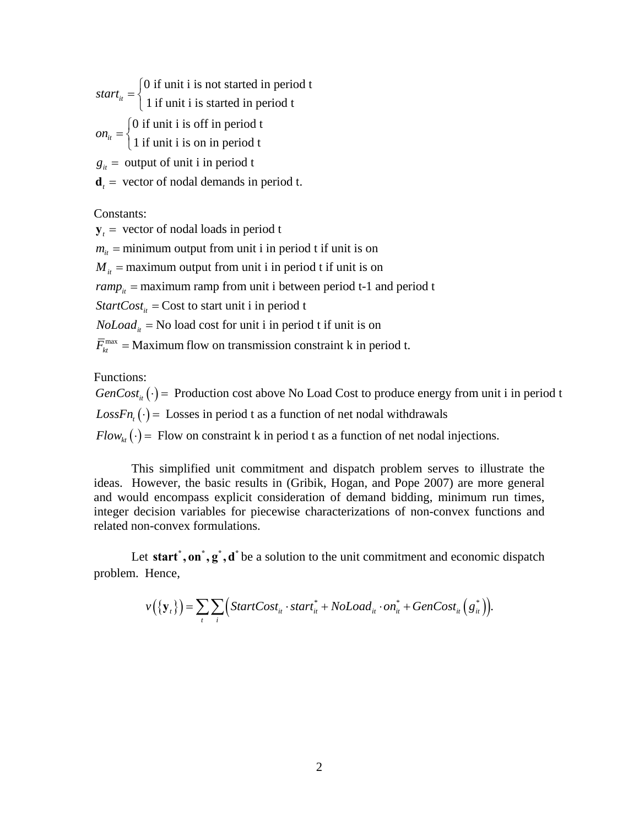0 if unit i is not started in period t  $start_{it} = \begin{cases} 0 \text{ if unit i is not started in period t} \\ 1 \text{ if unit i is started in period t} \end{cases}$ 0 if unit i is off in period t  $on_{it} = \begin{cases} 0 \text{ if unit i is off in period } t \\ 1 \text{ if unit i is on in period t} \end{cases}$  $g_{it}$  = output of unit i in period t  $\overline{a}$  $\overline{a}$ 

 $\mathbf{d}_t$  = vector of nodal demands in period t.

Constants:

 $y_t$  = vector of nodal loads in period t

 $m_{it}$  = minimum output from unit i in period t if unit is on

 $M_{it}$  = maximum output from unit i in period t if unit is on

 $ramp_{it}$  = maximum ramp from unit i between period t-1 and period t

*StartCost*<sub>*it*</sub> = Cost to start unit i in period t

 $Noload<sub>it</sub>$  = No load cost for unit i in period t if unit is on

 $\overline{F}_{kt}^{\text{max}}$  = Maximum flow on transmission constraint k in period t.

Functions:

 $GenCost_{it}(\cdot)$  = Production cost above No Load Cost to produce energy from unit i in period t  $LossFn_{\iota}(\cdot) =$  Losses in period t as a function of net nodal withdrawals  $Flow_{kt}(\cdot)$  = Flow on constraint k in period t as a function of net nodal injections.

 This simplified unit commitment and dispatch problem serves to illustrate the ideas. However, the basic results in (Gribik, Hogan, and Pope 2007) are more general and would encompass explicit consideration of demand bidding, minimum run times, integer decision variables for piecewise characterizations of non-convex functions and related non-convex formulations.

Let start<sup>\*</sup>, on<sup> $*$ </sup>,  $g^*$ , d<sup>\*</sup> be a solution to the unit commitment and economic dispatch problem. Hence,

$$
v(\lbrace \mathbf{y}_t \rbrace) = \sum_{t} \sum_{i} \Big( StartCost_{it} \cdot start_{it}^* + NoLoad_{it} \cdot on_{it}^* + GenCost_{it} (g_{it}^*) \Big).
$$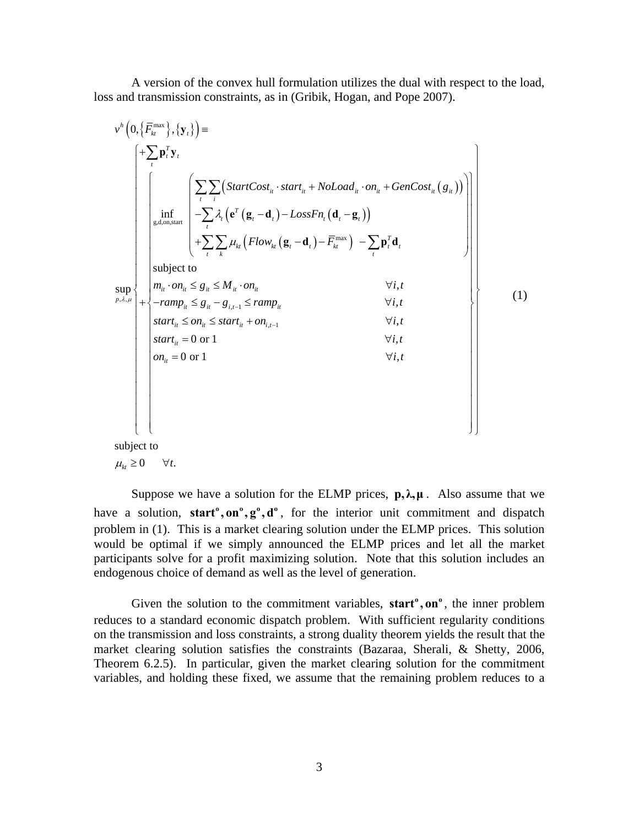A version of the convex hull formulation utilizes the dual with respect to the load, loss and transmission constraints, as in (Gribik, Hogan, and Pope 2007).

$$
v^{h}\left(0,\left\{\overline{F}_{kt}^{\max}\right\},\left\{\mathbf{y}_{i}\right\}\right)=\left\{\begin{array}{c}\left| \sum_{i} \mathbf{p}_{i}^{T} \mathbf{y}_{i}\right.\right.\\ \left(\left|\sum_{i} \sum_{i} \left(StartCost_{it} \cdot start_{it} + Nolload_{it} \cdot on_{it} + GenCost_{it} \left(g_{it}\right)\right)\right.\right)\\ \left|\left|\sum_{\substack{g, d, on, start \\ g, d, on, start}} \left(\sum_{i} \sum_{i} \left( StartCost_{it} \cdot start_{it} + Nolload_{it} \cdot on_{it} + GenCost_{it} \left(g_{it}\right)\right)\right.\right)\\ \left|\sum_{i} \sum_{i} \mu_{i} \left( Flow_{kt} \left(\mathbf{g}_{i} - \mathbf{d}_{i}\right) - LossFn_{i} \left(\mathbf{d}_{i} - \mathbf{g}_{i}\right)\right)\right|\right\}\right\}\n\text{subject to}\n\text{sup}\n\left\{\n\left|\n\begin{array}{c}\n\text{subject to} & \forall i, t \\
\text{subject to} \\
m_{it} \cdot on_{it} \leq g_{it} \leq M_{it} \cdot on_{it} & \forall i, t \\
\text{start}_{it} \leq on_{it} \leq start_{it} + on_{i, t-1} & \forall i, t \\
\text{start}_{it} = 0 \text{ or } 1 & \forall i, t \\
\text{start}_{it} = 0 \text{ or } 1 & \forall i, t\n\end{array}\n\right\}\n\right\}\n\left\{\n\left|\n\begin{array}{c}\n\text{if } \forall i, t \\
\text{if } \forall i, t \\
\forall i, t \\
\text{if } \forall i, t\n\end{array}\n\right|\n\right\}
$$

subject to

$$
\mu_{kt} \geq 0 \qquad \forall t.
$$

Suppose we have a solution for the ELMP prices,  $p, \lambda, \mu$ . Also assume that we have a solution, **start<sup>°</sup>, on<sup>°</sup>, g<sup>°</sup>, d<sup>°</sup>, for the interior unit commitment and dispatch** problem in (1). This is a market clearing solution under the ELMP prices. This solution would be optimal if we simply announced the ELMP prices and let all the market participants solve for a profit maximizing solution. Note that this solution includes an endogenous choice of demand as well as the level of generation.

Given the solution to the commitment variables, **start<sup>°</sup>, on**<sup>°</sup>, the inner problem reduces to a standard economic dispatch problem. With sufficient regularity conditions on the transmission and loss constraints, a strong duality theorem yields the result that the market clearing solution satisfies the constraints (Bazaraa, Sherali, & Shetty, 2006, Theorem 6.2.5). In particular, given the market clearing solution for the commitment variables, and holding these fixed, we assume that the remaining problem reduces to a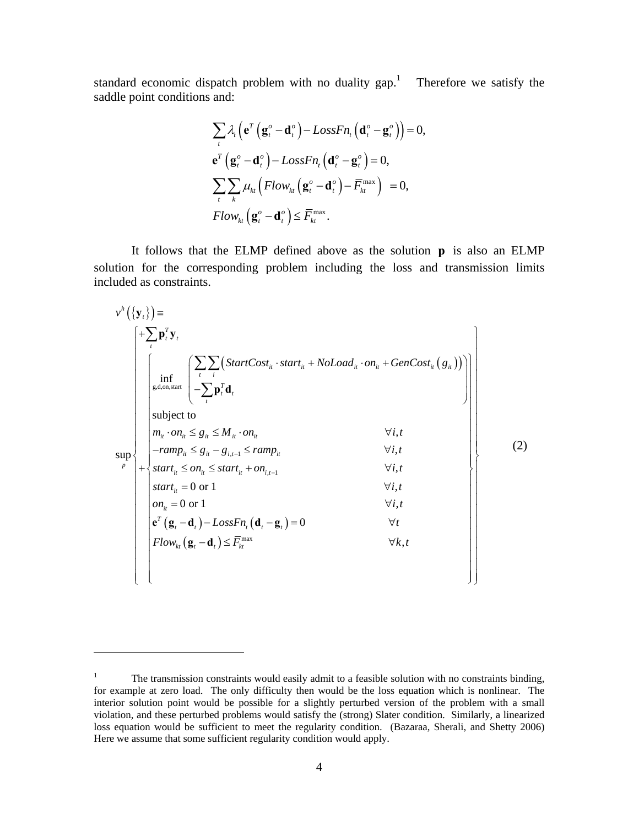standard economic dispatch problem with no duality gap.<sup>1</sup> Therefore we satisfy the saddle point conditions and:

$$
\sum_{t} \lambda_{t} \left( \mathbf{e}^{T} \left( \mathbf{g}_{t}^{\circ} - \mathbf{d}_{t}^{\circ} \right) - LossFn_{t} \left( \mathbf{d}_{t}^{\circ} - \mathbf{g}_{t}^{\circ} \right) \right) = 0,
$$
\n
$$
\mathbf{e}^{T} \left( \mathbf{g}_{t}^{\circ} - \mathbf{d}_{t}^{\circ} \right) - LossFn_{t} \left( \mathbf{d}_{t}^{\circ} - \mathbf{g}_{t}^{\circ} \right) = 0,
$$
\n
$$
\sum_{t} \sum_{k} \mu_{kt} \left( Flow_{kt} \left( \mathbf{g}_{t}^{\circ} - \mathbf{d}_{t}^{\circ} \right) - \overline{F}_{kt}^{max} \right) = 0,
$$
\n
$$
Flow_{kt} \left( \mathbf{g}_{t}^{\circ} - \mathbf{d}_{t}^{\circ} \right) \leq \overline{F}_{kt}^{max}.
$$

It follows that the ELMP defined above as the solution **p** is also an ELMP solution for the corresponding problem including the loss and transmission limits included as constraints.

| $v^h(\{\mathbf{y}_t\})$ = |  |                                                                                                                                                                                                                                             |                |     |
|---------------------------|--|---------------------------------------------------------------------------------------------------------------------------------------------------------------------------------------------------------------------------------------------|----------------|-----|
|                           |  | $+\sum \mathbf{p}_t^T \mathbf{y}_t$                                                                                                                                                                                                         |                |     |
| sup                       |  | $\left  \inf_{g,d,\text{on,start}} \left( \frac{\sum_{i} \sum_{i} \left( StartCost_{it} \cdot start_{it} + NoLoad_{it} \cdot on_{it} + GenCost_{it} (g_{it}) \right) \right)}{-\sum_{i} \mathbf{p}_i^T \mathbf{d}_t} \right $<br>subject to |                |     |
|                           |  | $m_{ii} \cdot on_{ii} \leq g_{ii} \leq M_{ii} \cdot on_{ii}$                                                                                                                                                                                | $\forall i, t$ | (2) |
|                           |  | $- ramp_{it} \leq g_{it} - g_{i,t-1} \leq ramp_{it}$                                                                                                                                                                                        | $\forall i, t$ |     |
|                           |  | $+\Big\{start_{it} \leq on_{it} \leq start_{it} + on_{i,t-1}\Big\}$                                                                                                                                                                         | $\forall i, t$ |     |
|                           |  | start <sub>it</sub> = 0 or 1                                                                                                                                                                                                                | $\forall i, t$ |     |
|                           |  | $on_{ii} = 0$ or 1                                                                                                                                                                                                                          | $\forall i, t$ |     |
|                           |  | $\mathbf{e}^T (\mathbf{g}_t - \mathbf{d}_t) - LossFn_t (\mathbf{d}_t - \mathbf{g}_t) = 0$                                                                                                                                                   | $\forall t$    |     |
|                           |  | $\left  Flow_{kt}(\mathbf{g}_{t} - \mathbf{d}_{t}) \leq \overline{F}_{kt}^{\text{max}} \right $                                                                                                                                             | $\forall k,t$  |     |
|                           |  |                                                                                                                                                                                                                                             |                |     |

 $\overline{a}$ 

<sup>1</sup> The transmission constraints would easily admit to a feasible solution with no constraints binding, for example at zero load. The only difficulty then would be the loss equation which is nonlinear. The interior solution point would be possible for a slightly perturbed version of the problem with a small violation, and these perturbed problems would satisfy the (strong) Slater condition. Similarly, a linearized loss equation would be sufficient to meet the regularity condition. (Bazaraa, Sherali, and Shetty 2006) Here we assume that some sufficient regularity condition would apply.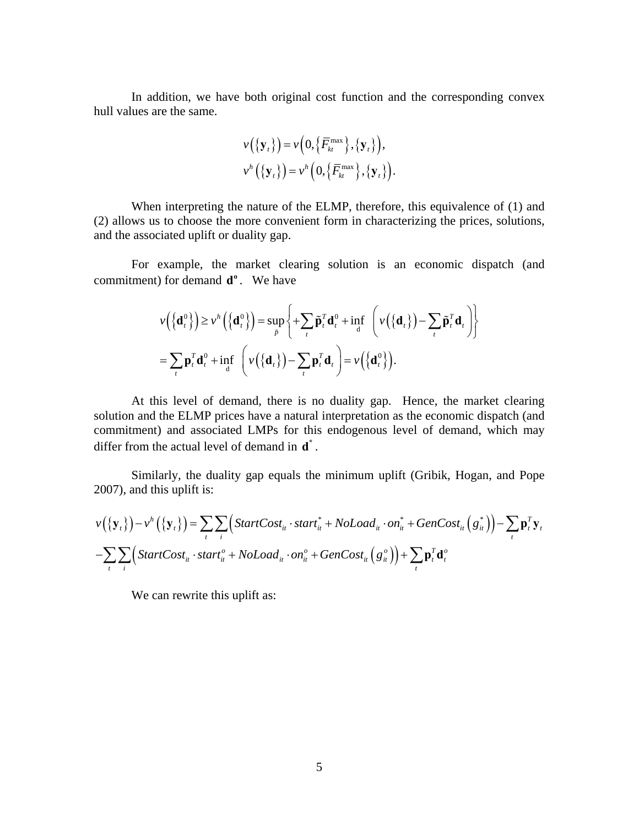In addition, we have both original cost function and the corresponding convex hull values are the same.

$$
\nu({\mathbf{y}_t}) = \nu(0, {\overline{F}_{kt}}^{\text{max}}), {\mathbf{y}_t}),
$$
  

$$
\nu^h({\mathbf{y}_t}) = \nu^h(0, {\overline{F}_{kt}}^{\text{max}}), {\mathbf{y}_t}).
$$

When interpreting the nature of the ELMP, therefore, this equivalence of (1) and (2) allows us to choose the more convenient form in characterizing the prices, solutions, and the associated uplift or duality gap.

 For example, the market clearing solution is an economic dispatch (and commitment) for demand  $\mathbf{d}^{\circ}$ . We have

$$
\nu(\{\mathbf{d}_t^0\}) \ge \nu^h(\{\mathbf{d}_t^0\}) = \sup_{\tilde{p}} \left\{ \sum_t \tilde{\mathbf{p}}_t^T \mathbf{d}_t^0 + \inf_{\mathbf{d}} \left( \nu(\{\mathbf{d}_t\}) - \sum_t \tilde{\mathbf{p}}_t^T \mathbf{d}_t \right) \right\}
$$

$$
= \sum_t \mathbf{p}_t^T \mathbf{d}_t^0 + \inf_{\mathbf{d}} \left( \nu(\{\mathbf{d}_t\}) - \sum_t \mathbf{p}_t^T \mathbf{d}_t \right) = \nu(\{\mathbf{d}_t^0\}).
$$

At this level of demand, there is no duality gap. Hence, the market clearing solution and the ELMP prices have a natural interpretation as the economic dispatch (and commitment) and associated LMPs for this endogenous level of demand, which may differ from the actual level of demand in  $\mathbf{d}^*$ .

Similarly, the duality gap equals the minimum uplift (Gribik, Hogan, and Pope 2007), and this uplift is:

$$
v({\mathbf{y}_t}) - v^h({\mathbf{y}_t}) = \sum_t \sum_i (\text{StartCost}_{it} \cdot \text{start}_{it}^* + \text{NoLoad}_{it} \cdot \text{on}_{it}^* + \text{GenCost}_{it}({\mathbf{g}_t^*}) ) - \sum_t \mathbf{p}_t^T \mathbf{y}_t
$$
  
- 
$$
\sum_t \sum_i (\text{StartCost}_{it} \cdot \text{start}_{it}^o + \text{NoLoad}_{it} \cdot \text{on}_{it}^o + \text{GenCost}_{it}({\mathbf{g}_t^o}) ) + \sum_t \mathbf{p}_t^T \mathbf{d}_t^o
$$

We can rewrite this uplift as: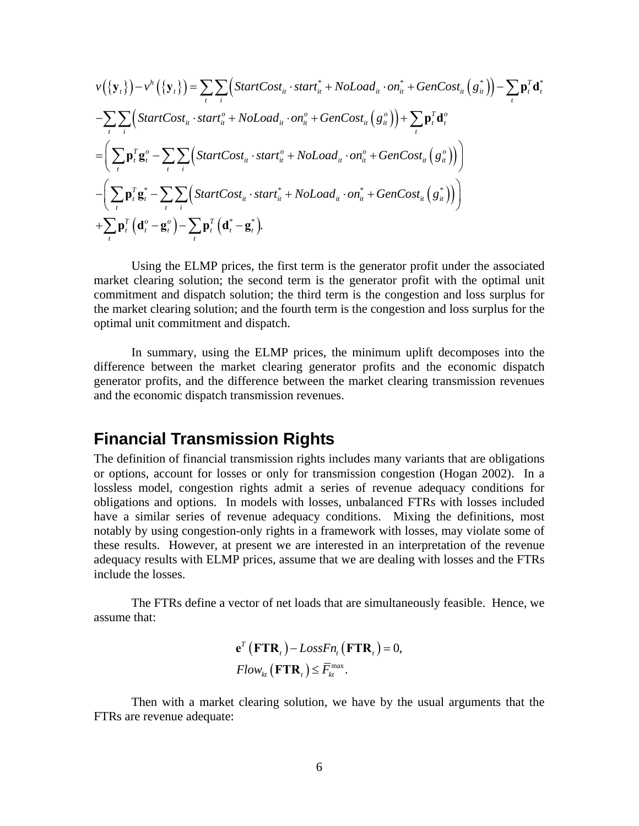$$
v(\{\mathbf{y}_t\}) - v^h(\{\mathbf{y}_t\}) = \sum_{t} \sum_{i} \Big( StartCost_{it} \cdot start_{it}^* + NoLoad_{it} \cdot on_{it}^* + GenCost_{it}(\mathbf{g}_{it}^*)\Big) - \sum_{t} \mathbf{p}_t^T \mathbf{d}_t^*
$$
  
\n
$$
- \sum_{t} \sum_{i} \Big( StartCost_{it} \cdot start_{it}^o + NoLoad_{it} \cdot on_{it}^o + GenCost_{it}(\mathbf{g}_{it}^o)\Big) + \sum_{t} \mathbf{p}_t^T \mathbf{d}_t^o
$$
  
\n
$$
= \Big(\sum_{t} \mathbf{p}_t^T \mathbf{g}_t^o - \sum_{t} \sum_{i} \Big( StartCost_{it} \cdot start_{it}^o + NoLoad_{it} \cdot on_{it}^o + GenCost_{it}(\mathbf{g}_{it}^o)\Big)\Big)
$$
  
\n
$$
- \Big(\sum_{t} \mathbf{p}_t^T \mathbf{g}_t^* - \sum_{t} \sum_{i} \Big( StartCost_{it} \cdot start_{it}^* + NoLoad_{it} \cdot on_{it}^* + GenCost_{it}(\mathbf{g}_{it}^*))\Big)
$$
  
\n
$$
+ \sum_{t} \mathbf{p}_t^T \Big(\mathbf{d}_t^o - \mathbf{g}_t^o\Big) - \sum_{t} \mathbf{p}_t^T \Big(\mathbf{d}_t^* - \mathbf{g}_t^*\Big).
$$

Using the ELMP prices, the first term is the generator profit under the associated market clearing solution; the second term is the generator profit with the optimal unit commitment and dispatch solution; the third term is the congestion and loss surplus for the market clearing solution; and the fourth term is the congestion and loss surplus for the optimal unit commitment and dispatch.

In summary, using the ELMP prices, the minimum uplift decomposes into the difference between the market clearing generator profits and the economic dispatch generator profits, and the difference between the market clearing transmission revenues and the economic dispatch transmission revenues.

## **Financial Transmission Rights**

The definition of financial transmission rights includes many variants that are obligations or options, account for losses or only for transmission congestion (Hogan 2002). In a lossless model, congestion rights admit a series of revenue adequacy conditions for obligations and options. In models with losses, unbalanced FTRs with losses included have a similar series of revenue adequacy conditions. Mixing the definitions, most notably by using congestion-only rights in a framework with losses, may violate some of these results. However, at present we are interested in an interpretation of the revenue adequacy results with ELMP prices, assume that we are dealing with losses and the FTRs include the losses.

The FTRs define a vector of net loads that are simultaneously feasible. Hence, we assume that:

$$
\mathbf{e}^T \left( \mathbf{F} \mathbf{T} \mathbf{R}_t \right) - LossFn_t \left( \mathbf{F} \mathbf{T} \mathbf{R}_t \right) = 0,
$$
  
Flow<sub>kt</sub> \left( \mathbf{F} \mathbf{T} \mathbf{R}\_t \right) \leq \overline{F}\_{kt}^{\max} .

Then with a market clearing solution, we have by the usual arguments that the FTRs are revenue adequate: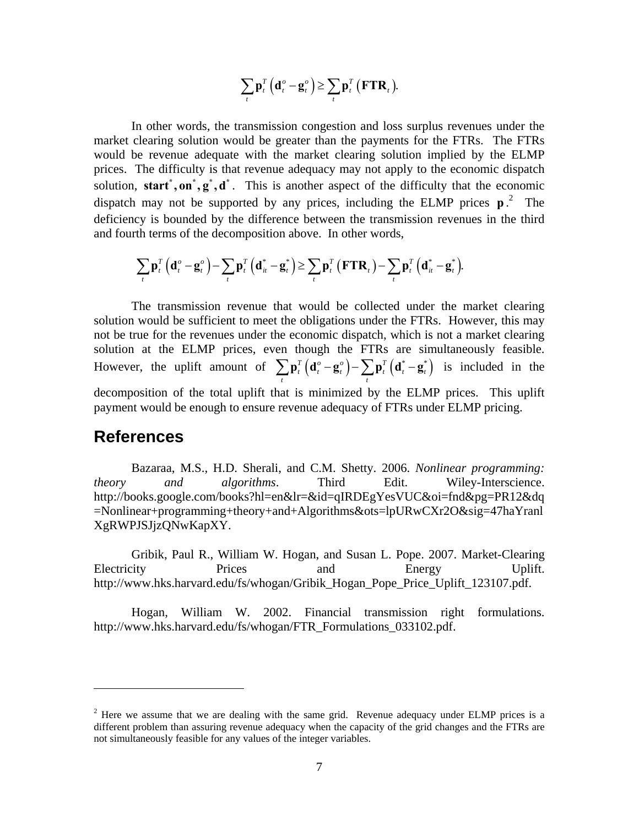$$
\sum_{t} \mathbf{p}_{t}^{T} \left( \mathbf{d}_{t}^{o} - \mathbf{g}_{t}^{o} \right) \geq \sum_{t} \mathbf{p}_{t}^{T} \left( \mathbf{F} \mathbf{T} \mathbf{R}_{t} \right).
$$

In other words, the transmission congestion and loss surplus revenues under the market clearing solution would be greater than the payments for the FTRs. The FTRs would be revenue adequate with the market clearing solution implied by the ELMP prices. The difficulty is that revenue adequacy may not apply to the economic dispatch solution, **start**, on,  $g$ ,  $g$ ,  $d$ . This is another aspect of the difficulty that the economic dispatch may not be supported by any prices, including the ELMP prices  $p^2$ . The deficiency is bounded by the difference between the transmission revenues in the third and fourth terms of the decomposition above. In other words,

$$
\sum_{t} \mathbf{p}_{t}^{T} \left( \mathbf{d}_{t}^{o} - \mathbf{g}_{t}^{o} \right) - \sum_{t} \mathbf{p}_{t}^{T} \left( \mathbf{d}_{it}^{*} - \mathbf{g}_{t}^{*} \right) \geq \sum_{t} \mathbf{p}_{t}^{T} \left( \mathbf{F} \mathbf{T} \mathbf{R}_{t} \right) - \sum_{t} \mathbf{p}_{t}^{T} \left( \mathbf{d}_{it}^{*} - \mathbf{g}_{t}^{*} \right).
$$

The transmission revenue that would be collected under the market clearing solution would be sufficient to meet the obligations under the FTRs. However, this may not be true for the revenues under the economic dispatch, which is not a market clearing solution at the ELMP prices, even though the FTRs are simultaneously feasible. However, the uplift amount of  $\sum_{i}^{\mathbf{p}} \mathbf{p}_t^T (\mathbf{d}_t^{\circ} - \mathbf{g}_t^{\circ}) - \sum_{i}^{\mathbf{p}} \mathbf{p}_t^T (\mathbf{d}_t^* - \mathbf{g}_t^*)$  $\sum_{t} \mathbf{p}_t^T (\mathbf{d}_t^{\circ} - \mathbf{g}_t^{\circ}) - \sum_{t} \mathbf{p}_t^T (\mathbf{d}_t^* - \mathbf{g}_t^*)$  is included in the decomposition of the total uplift that is minimized by the ELMP prices. This uplift payment would be enough to ensure revenue adequacy of FTRs under ELMP pricing.

#### **References**

<u>.</u>

Bazaraa, M.S., H.D. Sherali, and C.M. Shetty. 2006. *Nonlinear programming: theory and algorithms*. Third Edit. Wiley-Interscience. http://books.google.com/books?hl=en&lr=&id=qIRDEgYesVUC&oi=fnd&pg=PR12&dq =Nonlinear+programming+theory+and+Algorithms&ots=lpURwCXr2O&sig=47haYranl XgRWPJSJjzQNwKapXY.

Gribik, Paul R., William W. Hogan, and Susan L. Pope. 2007. Market-Clearing Electricity Prices and Energy Uplift. http://www.hks.harvard.edu/fs/whogan/Gribik\_Hogan\_Pope\_Price\_Uplift\_123107.pdf.

Hogan, William W. 2002. Financial transmission right formulations. http://www.hks.harvard.edu/fs/whogan/FTR\_Formulations\_033102.pdf.

 $2^2$  Here we assume that we are dealing with the same grid. Revenue adequacy under ELMP prices is a different problem than assuring revenue adequacy when the capacity of the grid changes and the FTRs are not simultaneously feasible for any values of the integer variables.